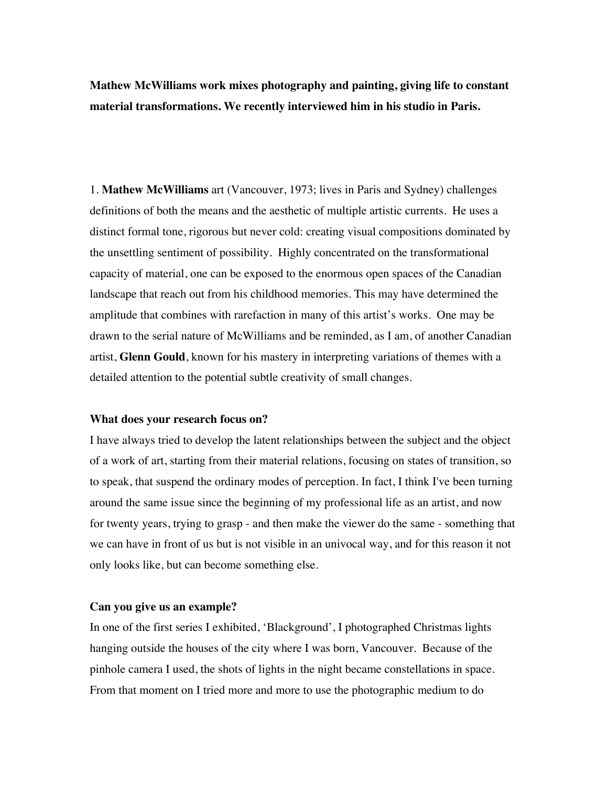**Mathew McWilliams work mixes photography and painting, giving life to constant material transformations. We recently interviewed him in his studio in Paris.**

1. **Mathew McWilliams** art (Vancouver, 1973; lives in Paris and Sydney) challenges definitions of both the means and the aesthetic of multiple artistic currents. He uses a distinct formal tone, rigorous but never cold: creating visual compositions dominated by the unsettling sentiment of possibility. Highly concentrated on the transformational capacity of material, one can be exposed to the enormous open spaces of the Canadian landscape that reach out from his childhood memories. This may have determined the amplitude that combines with rarefaction in many of this artist's works. One may be drawn to the serial nature of McWilliams and be reminded, as I am, of another Canadian artist, **Glenn Gould**, known for his mastery in interpreting variations of themes with a detailed attention to the potential subtle creativity of small changes.

#### **What does your research focus on?**

I have always tried to develop the latent relationships between the subject and the object of a work of art, starting from their material relations, focusing on states of transition, so to speak, that suspend the ordinary modes of perception. In fact, I think I've been turning around the same issue since the beginning of my professional life as an artist, and now for twenty years, trying to grasp - and then make the viewer do the same - something that we can have in front of us but is not visible in an univocal way, and for this reason it not only looks like, but can become something else.

### **Can you give us an example?**

In one of the first series I exhibited, 'Blackground', I photographed Christmas lights hanging outside the houses of the city where I was born, Vancouver. Because of the pinhole camera I used, the shots of lights in the night became constellations in space. From that moment on I tried more and more to use the photographic medium to do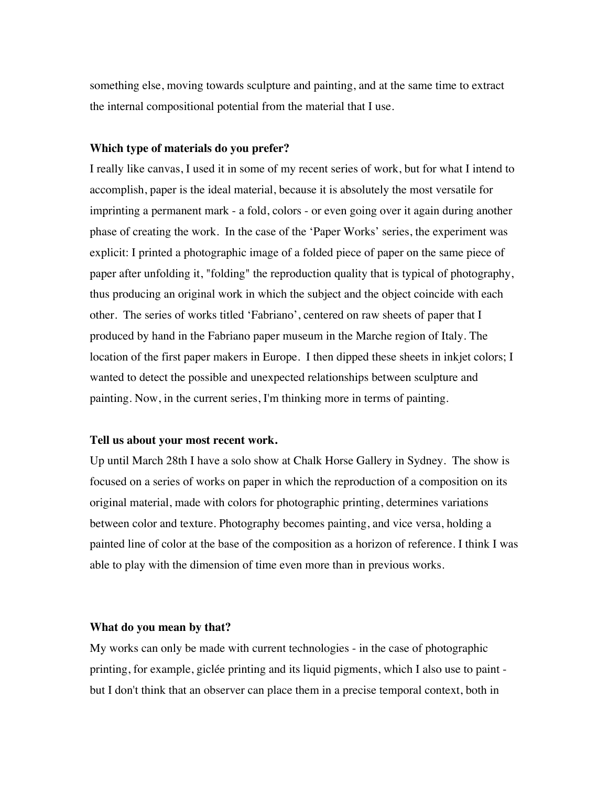something else, moving towards sculpture and painting, and at the same time to extract the internal compositional potential from the material that I use.

# **Which type of materials do you prefer?**

I really like canvas, I used it in some of my recent series of work, but for what I intend to accomplish, paper is the ideal material, because it is absolutely the most versatile for imprinting a permanent mark - a fold, colors - or even going over it again during another phase of creating the work. In the case of the 'Paper Works' series, the experiment was explicit: I printed a photographic image of a folded piece of paper on the same piece of paper after unfolding it, "folding" the reproduction quality that is typical of photography, thus producing an original work in which the subject and the object coincide with each other. The series of works titled 'Fabriano', centered on raw sheets of paper that I produced by hand in the Fabriano paper museum in the Marche region of Italy. The location of the first paper makers in Europe. I then dipped these sheets in inkjet colors; I wanted to detect the possible and unexpected relationships between sculpture and painting. Now, in the current series, I'm thinking more in terms of painting.

#### **Tell us about your most recent work.**

Up until March 28th I have a solo show at Chalk Horse Gallery in Sydney. The show is focused on a series of works on paper in which the reproduction of a composition on its original material, made with colors for photographic printing, determines variations between color and texture. Photography becomes painting, and vice versa, holding a painted line of color at the base of the composition as a horizon of reference. I think I was able to play with the dimension of time even more than in previous works.

# **What do you mean by that?**

My works can only be made with current technologies - in the case of photographic printing, for example, giclée printing and its liquid pigments, which I also use to paint but I don't think that an observer can place them in a precise temporal context, both in